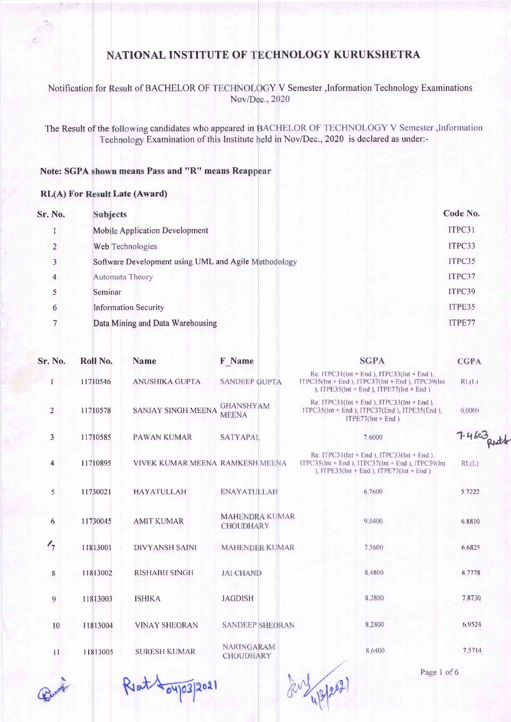#### Notification for Result of BACHELOR OF TECHNOLOGY V Semester ,Information Technology Examinations Nov/Dec., 2020

The Result of the following candidates who appeared in BACHELOR OF TECHNOLOGY V Semester, Information Technology Examination of this Institute held in Nov/Dec., 2020 is declared as under:-

#### Note: SGPA shown means Pass and "R" means Rea

#### RL(A) For Result Late (Award)

| Sr. No.        | <b>Subjects</b>                                      | Code No. |
|----------------|------------------------------------------------------|----------|
|                | Mobile Application Development                       | ITPC31   |
| 2              | Web Technologies                                     | ITPC33   |
| 3              | Software Development using UML and Agile Methodology | ITPC35   |
| $\overline{4}$ | Automata Theory                                      | ITPC37   |
|                | Seminar                                              | ITPC39   |
| 6              | <b>Information Security</b>                          | ITPE35   |
|                | Data Mining and Data Warehousing                     | ITPE77   |
|                |                                                      |          |

| Sr. No.        | Roll No. | <b>Name</b>                     | <b>F</b> Name                             | <b>SGPA</b>                                                                                                                                              | <b>CGPA</b>  |
|----------------|----------|---------------------------------|-------------------------------------------|----------------------------------------------------------------------------------------------------------------------------------------------------------|--------------|
| $\mathbf{I}$   | 11710546 | <b>ANUSHIKA GUPTA</b>           | <b>SANDEEP GUPTA</b>                      | Re. ITPC31( $Int + End$ ), ITPC33( $Int + End$ ).<br>ITPC35(Int + End), ITPC37(Int + End), ITPC39(Int<br>), ITPE35( $Int + End$ ), ITPE77( $Int + End$ ) | RL(L)        |
| $\overline{c}$ | 11710578 | <b>SANJAY SINGH MEENA</b>       | <b>GHANSHYAM</b><br><b>MEENA</b>          | Re. ITPC31(Int + End), ITPC33(Int + End),<br>ITPC35(Int + End), ITPC37(End), ITPE35(End),<br>$ITPE77(Int + End)$                                         | 0.0000       |
| $\mathbf{3}$   | 11710585 | <b>PAWAN KUMAR</b>              | <b>SATYAPAL</b>                           | 7.6000                                                                                                                                                   | 7.4603 Richt |
| $\overline{4}$ | 11710895 | VIVEK KUMAR MEENA RAMKESH MEENA |                                           | Re. ITPC31(Int + End), ITPC33(Int + End),<br>ITPC35( $Int + End$ ), ITPC37( $Int + End$ ), ITPC39( $Int$<br>), ITPE35(Int + End), ITPE77(Int + End)      | RL(L)        |
| 5              | 11730021 | <b>HAYATULLAH</b>               | <b>ENAYATULLAH</b>                        | 6.7600                                                                                                                                                   | 5.7222       |
| 6              | 11730045 | <b>AMIT KUMAR</b>               | <b>MAHENDRA KUMAR</b><br><b>CHOUDHARY</b> | 9.0400                                                                                                                                                   | 6.8810       |
| $\frac{1}{7}$  | 11813001 | <b>DIVYANSH SAINI</b>           | <b>MAHENDER KUMAR</b>                     | 7 5 6 0 0                                                                                                                                                | 6.6825       |
| 8              | 11813002 | <b>RISHABH SINGH</b>            | <b>JAI CHAND</b>                          | 8.4800                                                                                                                                                   | 8.7778       |
| 9              | 11813003 | <b>ISHIKA</b>                   | <b>JAGDISH</b>                            | 8.2800                                                                                                                                                   | 7.8730       |
| 10             | 11813004 | <b>VINAY SHEORAN</b>            | <b>SANDEEP SHEORAN</b>                    | 8.2800                                                                                                                                                   | 6.9524       |
| 11             | 11813005 | <b>SURESH KUMAR</b>             | NARINGARAM<br><b>CHOUDHARY</b>            | 8.6400                                                                                                                                                   | 7.5714       |



Rent 104/03/2021

4/2/2021

Page I of 6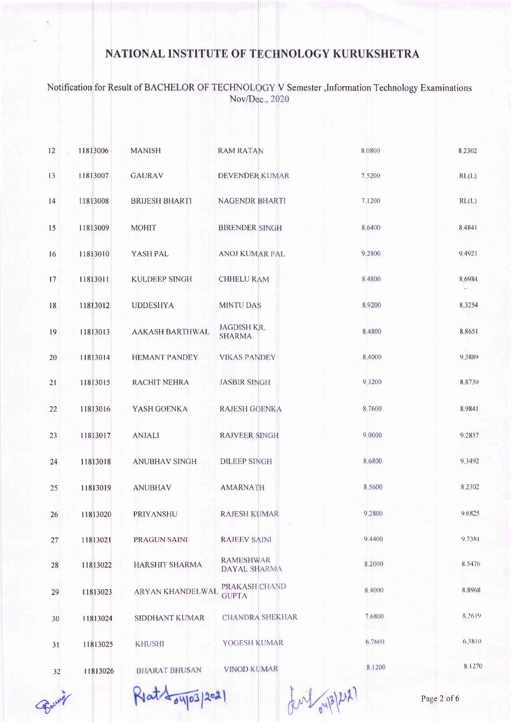Notification for Result of BACHELOR OF TECHNOLOGY V Semester , Information Technology Examinations<br>Nov/Dec., 2020

| 12 | 11813006 | <b>MANISH</b>          | <b>RAM RATAN</b>                    | 8.0800    | 8.2302           |
|----|----------|------------------------|-------------------------------------|-----------|------------------|
| 13 | 11813007 | <b>GAURAV</b>          | DEVENDER KUMAR                      | 7.5200    | RL(L)            |
| 14 | 11813008 | <b>BRIJESH BHARTI</b>  | <b>NAGENDR BHARTI</b>               | 7.1200    | RL(L)            |
| 15 | 11813009 | <b>MOHIT</b>           | <b>BIRENDER SINGH</b>               | 8.6400    | 8.4841           |
| 16 | 11813010 | YASH PAL               | ANOJ KUMAR PAL                      | 9,2800    | 9,4921           |
| 17 | 11813011 | <b>KULDEEP SINGH</b>   | <b>CHHELU RAM</b>                   | 8.4800    | 8.6984<br>$\sim$ |
| 18 | 11813012 | <b>UDDESHYA</b>        | <b>MINTU DAS</b>                    | 8.9200    | 8.3254           |
| 19 | 11813013 | <b>AAKASH BARTHWAL</b> | <b>JAGDISH KR.</b><br><b>SHARMA</b> | 8.4800    | 88651            |
| 20 | 11813014 | <b>HEMANT PANDEY</b>   | <b>VIKAS PANDEY</b>                 | 8.4000    | 9.3889           |
| 21 | 11813015 | RACHIT NEHRA           | <b>JASBIR SINGH</b>                 | 9 3 2 0 0 | 8,8730           |
| 22 | 11813016 | YASH GOENKA            | <b>RAJESH GOENKA</b>                | 8.7600    | 8.9841           |
| 23 | 11813017 | <b>ANJALI</b>          | <b>RAJVEER SINGH</b>                | 9.0000    | 9,2857           |
| 24 | 11813018 | <b>ANUBHAV SINGH</b>   | <b>DILEEP SINGH</b>                 | 8.6800    | 9,3492           |
| 25 | 11813019 | <b>ANUBHAV</b>         | <b>AMARNATH</b>                     | 8.5600    | 8 2 3 0 2        |
| 26 | 11813020 | PRIYANSHU              | <b>RAJESH KUMAR</b>                 | 9,2800    | 9.6825           |
| 27 | 11813021 | PRAGUN SAINI           | <b>RAJEEV SAINI</b>                 | 9.4400    | 9.7381           |
| 28 | 11813022 | HARSHIT SHARMA         | <b>RAMESHWAR</b><br>DAYAL SHARMA    | 8.2000    | 8.5476           |
| 29 | 11813023 | ARYAN KHANDELWAL       | PRAKASH CHAND<br><b>GUPTA</b>       | 8.4000    | 8.8968           |
| 30 | 11813024 | <b>SIDDHANT KUMAR</b>  | <b>CHANDRA SHEKHAR</b>              | 7.6800    | 8.2619           |
| 31 | 11813025 | <b>KHUSHI</b>          | YOGESH KUMAR                        | 6.7600    | 6,3810           |
| 32 | 11813026 | <b>BHARAT BHUSAN</b>   | <b>VINOD KUMAR</b>                  | 8,1200    | 8.1270           |
|    |          |                        |                                     |           |                  |

Berry

Rlat 104/03/2021

BM/ oup/ D2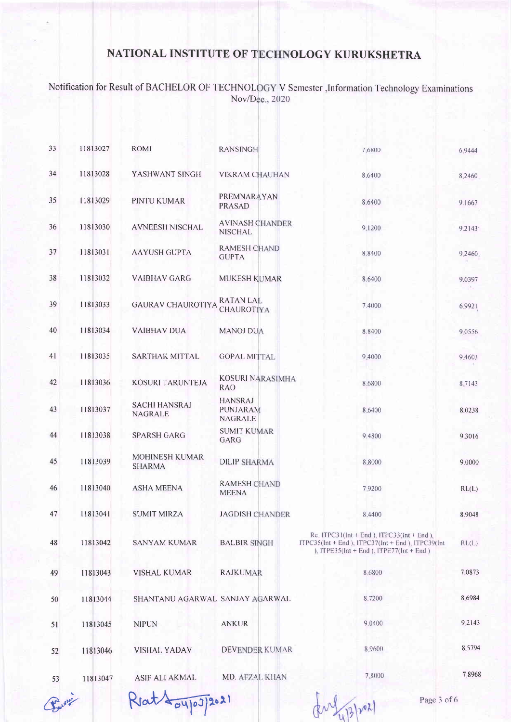Notification for Result of BACHELOR OF TECHNOLOGY V Semester ,Information Technology Examinations<br>Nov/Dec., 2020

| 33 | 11813027 | <b>ROMI</b>                            | <b>RANSINGH</b>                                     | 7,6800                                                                                                                                           | 6.9444    |
|----|----------|----------------------------------------|-----------------------------------------------------|--------------------------------------------------------------------------------------------------------------------------------------------------|-----------|
| 34 | 11813028 | YASHWANT SINGH                         | <b>VIKRAM CHAUHAN</b>                               | 8,6400                                                                                                                                           | 8.2460    |
| 35 | 11813029 | PINTU KUMAR                            | PREMNARAYAN<br><b>PRASAD</b>                        | 8.6400                                                                                                                                           | 9.1667    |
| 36 | 11813030 | <b>AVNEESH NISCHAL</b>                 | <b>AVINASH CHANDER</b><br><b>NISCHAL</b>            | 9,1200                                                                                                                                           | 9.2143    |
| 37 | 11813031 | <b>AAYUSH GUPTA</b>                    | <b>RAMESH CHAND</b><br><b>GUPTA</b>                 | 8.8400                                                                                                                                           | 9.2460    |
| 38 | 11813032 | <b>VAIBHAV GARG</b>                    | <b>MUKESH KUMAR</b>                                 | 8.6400                                                                                                                                           | 9.0397    |
| 39 | 11813033 | <b>GAURAV CHAUROTIYA</b>               | <b>RATAN LAL</b><br><b>CHAUROTIYA</b>               | 7.4000                                                                                                                                           | 6.9921    |
| 40 | 11813034 | <b>VAIBHAV DUA</b>                     | <b>MANOJ DUA</b>                                    | 8.8400                                                                                                                                           | 9.0556    |
| 41 | 11813035 | <b>SARTHAK MITTAL</b>                  | <b>GOPAL MITTAL</b>                                 | 9,4000                                                                                                                                           | 9 4 6 0 3 |
| 42 | 11813036 | <b>KOSURI TARUNTEJA</b>                | <b>KOSURI NARASIMHA</b><br><b>RAO</b>               | 8,6800                                                                                                                                           | 8.7143    |
| 43 | 11813037 | <b>SACHI HANSRAJ</b><br>NAGRALE        | <b>HANSRAJ</b><br><b>PUNJARAM</b><br><b>NAGRALE</b> | 8.6400                                                                                                                                           | 8.0238    |
| 44 | 11813038 | <b>SPARSH GARG</b>                     | <b>SUMIT KUMAR</b><br>GARG                          | 9,4800                                                                                                                                           | 9.3016    |
| 45 | 11813039 | <b>MOHINESH KUMAR</b><br><b>SHARMA</b> | <b>DILIP SHARMA</b>                                 | 8.8000                                                                                                                                           | 9.0000    |
| 46 | 11813040 | <b>ASHA MEENA</b>                      | <b>RAMESH CHAND</b><br><b>MEENA</b>                 | 7.9200                                                                                                                                           | RL(L)     |
| 47 | 11813041 | <b>SUMIT MIRZA</b>                     | <b>JAGDISH CHANDER</b>                              | 8.4400                                                                                                                                           | 8.9048    |
| 48 | 11813042 | <b>SANYAM KUMAR</b>                    | <b>BALBIR SINGH</b>                                 | Re. $ITPC31(lnt + End)$ , $ITPC33(lnt + End)$ .<br>ITPC35(Int + End), ITPC37(Int + End), ITPC39(Int<br>), ITPE35(Int + End ), ITPE77(Int + End ) | RL(L)     |
| 49 | 11813043 | <b>VISHAL KUMAR</b>                    | <b>RAJKUMAR</b>                                     | 8,6800                                                                                                                                           | 7.0873    |
| 50 | 11813044 | SHANTANU AGARWAL SANJAY AGARWAL        |                                                     | 8.7200                                                                                                                                           | 8.6984    |
| 51 | 11813045 | <b>NIPUN</b>                           | <b>ANKUR</b>                                        | 9 0400                                                                                                                                           | 9.2143    |
| 52 | 11813046 | <b>VISHAL YADAV</b>                    | DEVENDER KUMAR                                      | 8.9600                                                                                                                                           | 8.5794    |
| 53 | 11813047 | ASIF ALI AKMAL                         | MD. AFZAL KHAN                                      | 7.8000                                                                                                                                           | 7.8968    |
|    |          |                                        |                                                     |                                                                                                                                                  |           |

Change of

 $Riat \sqrt{\frac{1}{\sigma^2}}$ 2021

Page 3 of 6

( 2 13 / 22 )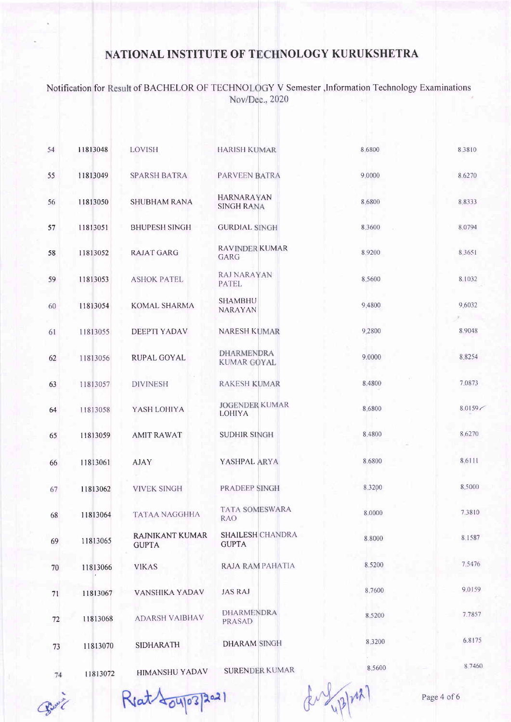Notification for Result of BACHELOR OF TECHNOLOGY V Semester , Information Technology Examinations Nov/Dec., 2020

| 54 | 11813048 | LOVISH                          | <b>HARISH KUMAR</b>                     | 8,6800    | 8,3810 |
|----|----------|---------------------------------|-----------------------------------------|-----------|--------|
| 55 | 11813049 | <b>SPARSH BATRA</b>             | PARVEEN BATRA                           | 9.0000    | 8.6270 |
| 56 | 11813050 | <b>SHUBHAM RANA</b>             | <b>HARNARAYAN</b><br><b>SINGH RANA</b>  | 8.6800    | 8.8333 |
| 57 | 11813051 | <b>BHUPESH SINGH</b>            | <b>GURDIAL SINGH</b>                    | 8.3600    | 8.0794 |
| 58 | 11813052 | <b>RAJAT GARG</b>               | <b>RAVINDER KUMAR</b><br>GARG           | 8.9200    | 8.3651 |
| 59 | 11813053 | <b>ASHOK PATEL</b>              | <b>RAJ NARAYAN</b><br><b>PATEL</b>      | 8 5 6 0 0 | 8.1032 |
| 60 | 11813054 | KOMAL SHARMA                    | <b>SHAMBHU</b><br><b>NARAYAN</b>        | 9,4800    | 9.6032 |
| 61 | 11813055 | <b>DEEPTI YADAV</b>             | <b>NARESH KUMAR</b>                     | 9.2800    | 8.9048 |
| 62 | 11813056 | <b>RUPAL GOYAL</b>              | <b>DHARMENDRA</b><br><b>KUMAR GOYAL</b> | 9.0000    | 8.8254 |
| 63 | 11813057 | <b>DIVINESH</b>                 | <b>RAKESH KUMAR</b>                     | 8.4800    | 7.0873 |
| 64 | 11813058 | YASH LOHIYA                     | <b>JOGENDER KUMAR</b><br><b>LOHIYA</b>  | 8,6800    | 8.0159 |
| 65 | 11813059 | <b>AMIT RAWAT</b>               | <b>SUDHIR SINGH</b>                     | 8.4800    | 8.6270 |
| 66 | 11813061 | <b>AJAY</b>                     | YASHPAL ARYA                            | 8.6800    | 8.6111 |
| 67 | 11813062 | <b>VIVEK SINGH</b>              | PRADEEP SINGH                           | 8.3200    | 8,5000 |
| 68 | 11813064 | <b>TATAA NAGGHHA</b>            | <b>TATA SOMESWARA</b><br><b>RAO</b>     | 8.0000    | 7.3810 |
| 69 | 11813065 | RAJNIKANT KUMAR<br><b>GUPTA</b> | <b>SHAILESH CHANDRA</b><br><b>GUPTA</b> | 8.8000    | 8.1587 |
| 70 | 11813066 | <b>VIKAS</b>                    | RAJA RAM PAHATIA                        | 8.5200    | 7.5476 |
| 71 | 11813067 | VANSHIKA YADAV                  | <b>JAS RAJ</b>                          | 8.7600    | 9.0159 |
| 72 | 11813068 | <b>ADARSH VAIBHAV</b>           | <b>DHARMENDRA</b><br>PRASAD             | 8.5200    | 7.7857 |
| 73 | 11813070 | <b>SIDHARATH</b>                | <b>DHARAM SINGH</b>                     | 8.3200    | 6.8175 |
| 74 | 11813072 | HIMANSHU YADAV                  | <b>SURENDER KUMAR</b>                   | 8.5600    | 8.7460 |

Reat 804/03/2021

Book

4/2/2021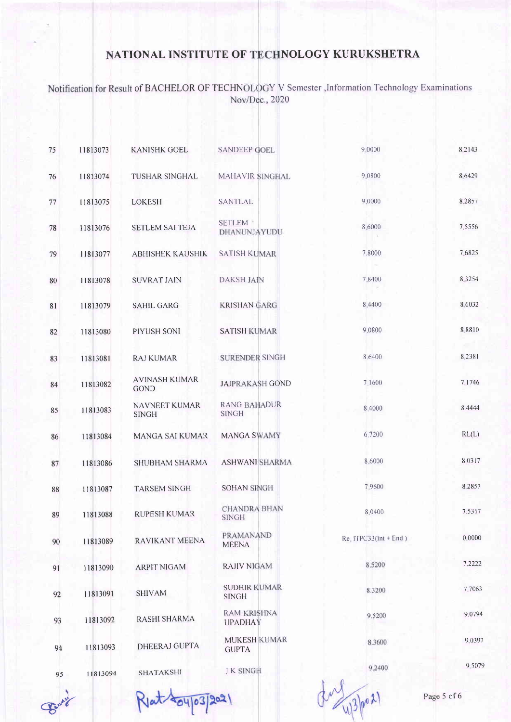Notification for Result of BACHELOR OF TECHNOLOGY V Semester , Information Technology Examinations Nov/Dec., 2020

| 75 | 11813073 | <b>KANISHK GOEL</b>                 | <b>SANDEEP GOEL</b>                  | 9,0000                  | 8.2143      |
|----|----------|-------------------------------------|--------------------------------------|-------------------------|-------------|
| 76 | 11813074 | TUSHAR SINGHAL                      | <b>MAHAVIR SINGHAL</b>               | 9 0 8 0 0               | 86429       |
| 77 | 11813075 | <b>LOKESH</b>                       | <b>SANTLAL</b>                       | 9,0000                  | 8.2857      |
| 78 | 11813076 | <b>SETLEM SAI TEJA</b>              | <b>SETLEM</b><br>DHANUNJAYUDU        | 8,6000                  | 7.5556      |
| 79 | 11813077 | <b>ABHISHEK KAUSHIK</b>             | <b>SATISH KUMAR</b>                  | 7.8000                  | 7.6825      |
| 80 | 11813078 | <b>SUVRAT JAIN</b>                  | DAKSH JAIN                           | 7.8400                  | 8.3254      |
| 81 | 11813079 | <b>SAHIL GARG</b>                   | <b>KRISHAN GARG</b>                  | 8.4400                  | 8 6032      |
| 82 | 11813080 | PIYUSH SONI                         | <b>SATISH KUMAR</b>                  | 9.0800                  | 8.8810      |
| 83 | 11813081 | <b>RAJ KUMAR</b>                    | <b>SURENDER SINGH</b>                | 8.6400                  | 8.2381      |
| 84 | 11813082 | <b>AVINASH KUMAR</b><br><b>GOND</b> | <b>JAIPRAKASH GOND</b>               | 7.1600                  | 7 1 7 4 6   |
| 85 | 11813083 | NAVNEET KUMAR<br><b>SINGH</b>       | <b>RANG BAHADUR</b><br><b>SINGH</b>  | 8,4000                  | 8.4444      |
| 86 | 11813084 | MANGA SAI KUMAR                     | <b>MANGA SWAMY</b>                   | 6,7200                  | RL(L)       |
| 87 | 11813086 | SHUBHAM SHARMA                      | <b>ASHWANI SHARMA</b>                | 8.6000                  | 8.0317      |
| 88 | 11813087 | <b>TARSEM SINGH</b>                 | <b>SOHAN SINGH</b>                   | 7.9600                  | 8.2857      |
| 89 | 11813088 | <b>RUPESH KUMAR</b>                 | <b>CHANDRA BHAN</b><br><b>SINGH</b>  | 8.0400                  | 7.5317      |
| 90 | 11813089 | RAVIKANT MEENA                      | <b>PRAMANAND</b><br><b>MEENA</b>     | Re. $ITPC33(int + End)$ | 0.0000      |
| 91 | 11813090 | <b>ARPIT NIGAM</b>                  | <b>RAJIV NIGAM</b>                   | 8.5200                  | 7.2222      |
| 92 | 11813091 | <b>SHIVAM</b>                       | <b>SUDHIR KUMAR</b><br><b>SINGH</b>  | 8.3200                  | 7,7063      |
| 93 | 11813092 | <b>RASHI SHARMA</b>                 | <b>RAM KRISHNA</b><br><b>UPADHAY</b> | 9.5200                  | 9.0794      |
| 94 | 11813093 | <b>DHEERAJ GUPTA</b>                | <b>MUKESH KUMAR</b><br><b>GUPTA</b>  | 8.3600                  | 9.039       |
| 95 | 11813094 | SHATAKSHI                           | <b>JK SINGH</b>                      | 9.2400                  | 9.507       |
|    |          |                                     |                                      |                         | Page 5 of 6 |

Bury

Rlat 404/03/2021

Page 5 of 6